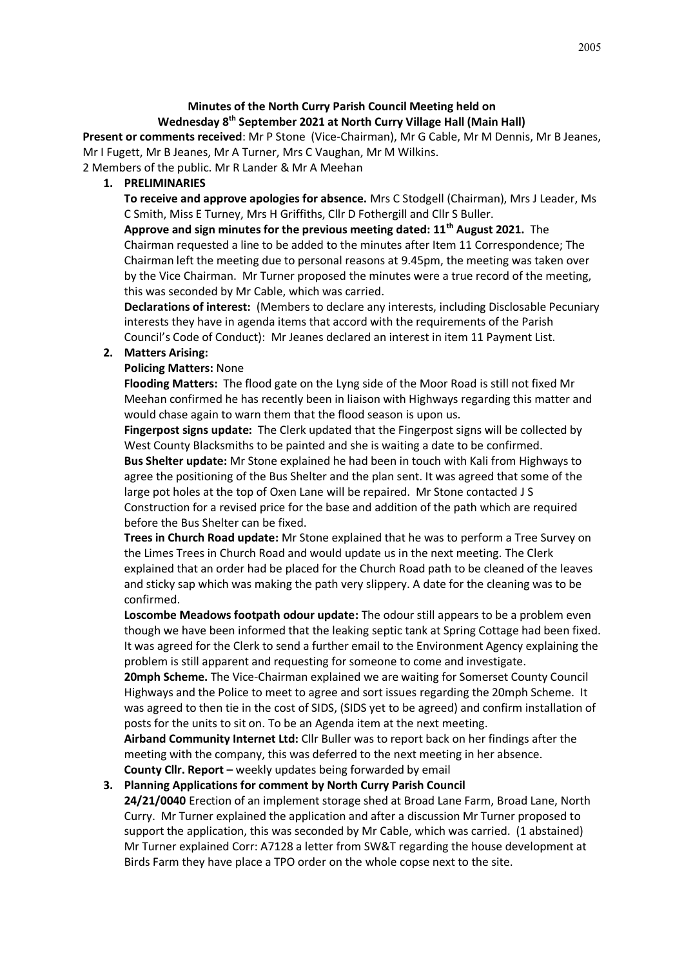# **Minutes of the North Curry Parish Council Meeting held on Wednesday 8th September 2021 at North Curry Village Hall (Main Hall)**

**Present or comments received**: Mr P Stone (Vice-Chairman), Mr G Cable, Mr M Dennis, Mr B Jeanes, Mr I Fugett, Mr B Jeanes, Mr A Turner, Mrs C Vaughan, Mr M Wilkins.

2 Members of the public. Mr R Lander & Mr A Meehan

**1. PRELIMINARIES**

**To receive and approve apologies for absence.** Mrs C Stodgell (Chairman), Mrs J Leader, Ms C Smith, Miss E Turney, Mrs H Griffiths, Cllr D Fothergill and Cllr S Buller.

**Approve and sign minutes for the previous meeting dated: 11th August 2021.** The Chairman requested a line to be added to the minutes after Item 11 Correspondence; The Chairman left the meeting due to personal reasons at 9.45pm, the meeting was taken over by the Vice Chairman. Mr Turner proposed the minutes were a true record of the meeting, this was seconded by Mr Cable, which was carried.

**Declarations of interest:** (Members to declare any interests, including Disclosable Pecuniary interests they have in agenda items that accord with the requirements of the Parish Council's Code of Conduct): Mr Jeanes declared an interest in item 11 Payment List.

## **2. Matters Arising:**

## **Policing Matters:** None

**Flooding Matters:** The flood gate on the Lyng side of the Moor Road is still not fixed Mr Meehan confirmed he has recently been in liaison with Highways regarding this matter and would chase again to warn them that the flood season is upon us.

**Fingerpost signs update:** The Clerk updated that the Fingerpost signs will be collected by West County Blacksmiths to be painted and she is waiting a date to be confirmed. **Bus Shelter update:** Mr Stone explained he had been in touch with Kali from Highways to agree the positioning of the Bus Shelter and the plan sent. It was agreed that some of the large pot holes at the top of Oxen Lane will be repaired. Mr Stone contacted J S Construction for a revised price for the base and addition of the path which are required before the Bus Shelter can be fixed.

**Trees in Church Road update:** Mr Stone explained that he was to perform a Tree Survey on the Limes Trees in Church Road and would update us in the next meeting. The Clerk explained that an order had be placed for the Church Road path to be cleaned of the leaves and sticky sap which was making the path very slippery. A date for the cleaning was to be confirmed.

**Loscombe Meadows footpath odour update:** The odour still appears to be a problem even though we have been informed that the leaking septic tank at Spring Cottage had been fixed. It was agreed for the Clerk to send a further email to the Environment Agency explaining the problem is still apparent and requesting for someone to come and investigate.

**20mph Scheme.** The Vice-Chairman explained we are waiting for Somerset County Council Highways and the Police to meet to agree and sort issues regarding the 20mph Scheme. It was agreed to then tie in the cost of SIDS, (SIDS yet to be agreed) and confirm installation of posts for the units to sit on. To be an Agenda item at the next meeting.

**Airband Community Internet Ltd:** Cllr Buller was to report back on her findings after the meeting with the company, this was deferred to the next meeting in her absence.

**County Cllr. Report –** weekly updates being forwarded by email **3. Planning Applications for comment by North Curry Parish Council**

**24/21/0040** Erection of an implement storage shed at Broad Lane Farm, Broad Lane, North Curry. Mr Turner explained the application and after a discussion Mr Turner proposed to support the application, this was seconded by Mr Cable, which was carried. (1 abstained) Mr Turner explained Corr: A7128 a letter from SW&T regarding the house development at Birds Farm they have place a TPO order on the whole copse next to the site.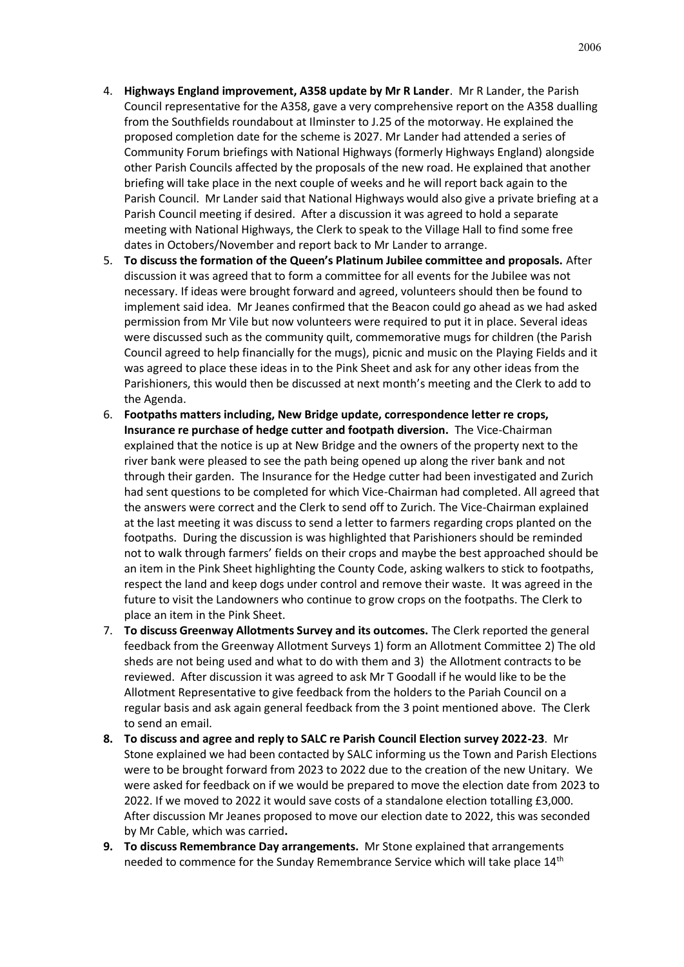- 4. **Highways England improvement, A358 update by Mr R Lander**. Mr R Lander, the Parish Council representative for the A358, gave a very comprehensive report on the A358 dualling from the Southfields roundabout at Ilminster to J.25 of the motorway. He explained the proposed completion date for the scheme is 2027. Mr Lander had attended a series of Community Forum briefings with National Highways (formerly Highways England) alongside other Parish Councils affected by the proposals of the new road. He explained that another briefing will take place in the next couple of weeks and he will report back again to the Parish Council. Mr Lander said that National Highways would also give a private briefing at a Parish Council meeting if desired. After a discussion it was agreed to hold a separate meeting with National Highways, the Clerk to speak to the Village Hall to find some free dates in Octobers/November and report back to Mr Lander to arrange.
- 5. **To discuss the formation of the Queen's Platinum Jubilee committee and proposals.** After discussion it was agreed that to form a committee for all events for the Jubilee was not necessary. If ideas were brought forward and agreed, volunteers should then be found to implement said idea. Mr Jeanes confirmed that the Beacon could go ahead as we had asked permission from Mr Vile but now volunteers were required to put it in place. Several ideas were discussed such as the community quilt, commemorative mugs for children (the Parish Council agreed to help financially for the mugs), picnic and music on the Playing Fields and it was agreed to place these ideas in to the Pink Sheet and ask for any other ideas from the Parishioners, this would then be discussed at next month's meeting and the Clerk to add to the Agenda.
- 6. **Footpaths matters including, New Bridge update, correspondence letter re crops, Insurance re purchase of hedge cutter and footpath diversion.** The Vice-Chairman explained that the notice is up at New Bridge and the owners of the property next to the river bank were pleased to see the path being opened up along the river bank and not through their garden. The Insurance for the Hedge cutter had been investigated and Zurich had sent questions to be completed for which Vice-Chairman had completed. All agreed that the answers were correct and the Clerk to send off to Zurich. The Vice-Chairman explained at the last meeting it was discuss to send a letter to farmers regarding crops planted on the footpaths. During the discussion is was highlighted that Parishioners should be reminded not to walk through farmers' fields on their crops and maybe the best approached should be an item in the Pink Sheet highlighting the County Code, asking walkers to stick to footpaths, respect the land and keep dogs under control and remove their waste. It was agreed in the future to visit the Landowners who continue to grow crops on the footpaths. The Clerk to place an item in the Pink Sheet.
- 7. **To discuss Greenway Allotments Survey and its outcomes.** The Clerk reported the general feedback from the Greenway Allotment Surveys 1) form an Allotment Committee 2) The old sheds are not being used and what to do with them and 3) the Allotment contracts to be reviewed. After discussion it was agreed to ask Mr T Goodall if he would like to be the Allotment Representative to give feedback from the holders to the Pariah Council on a regular basis and ask again general feedback from the 3 point mentioned above. The Clerk to send an email.
- **8. To discuss and agree and reply to SALC re Parish Council Election survey 2022-23**. Mr Stone explained we had been contacted by SALC informing us the Town and Parish Elections were to be brought forward from 2023 to 2022 due to the creation of the new Unitary. We were asked for feedback on if we would be prepared to move the election date from 2023 to 2022. If we moved to 2022 it would save costs of a standalone election totalling £3,000. After discussion Mr Jeanes proposed to move our election date to 2022, this was seconded by Mr Cable, which was carried**.**
- **9. To discuss Remembrance Day arrangements.** Mr Stone explained that arrangements needed to commence for the Sunday Remembrance Service which will take place 14<sup>th</sup>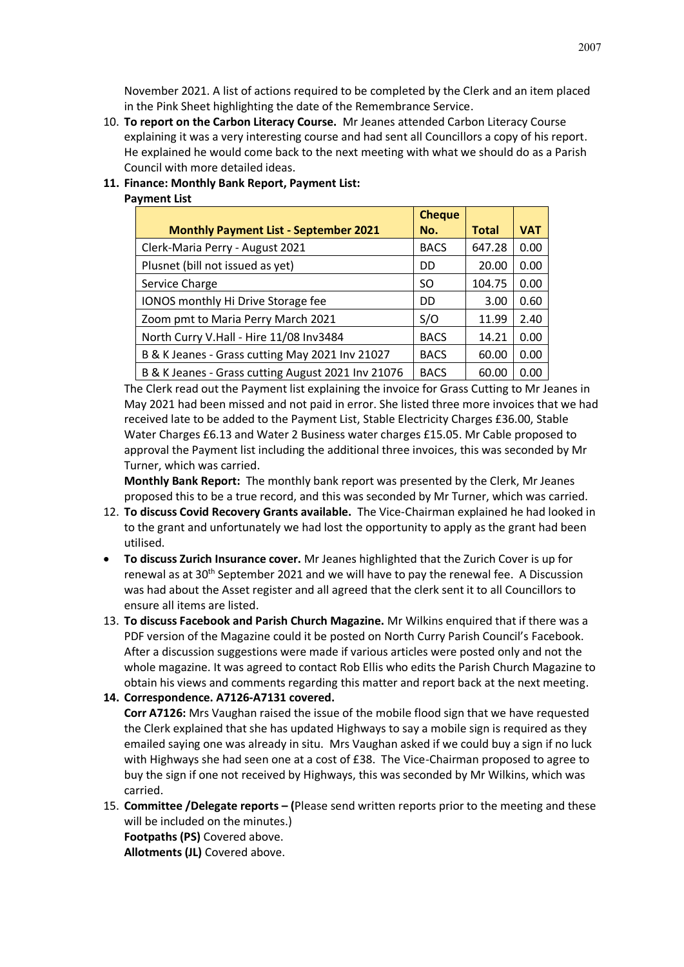November 2021. A list of actions required to be completed by the Clerk and an item placed in the Pink Sheet highlighting the date of the Remembrance Service.

10. **To report on the Carbon Literacy Course.** Mr Jeanes attended Carbon Literacy Course explaining it was a very interesting course and had sent all Councillors a copy of his report. He explained he would come back to the next meeting with what we should do as a Parish Council with more detailed ideas.

## **11. Finance: Monthly Bank Report, Payment List:**

# **Payment List**

|                                                    | <b>Cheque</b> |              |            |
|----------------------------------------------------|---------------|--------------|------------|
| <b>Monthly Payment List - September 2021</b>       | No.           | <b>Total</b> | <b>VAT</b> |
| Clerk-Maria Perry - August 2021                    | <b>BACS</b>   | 647.28       | 0.00       |
| Plusnet (bill not issued as yet)                   | DD.           | 20.00        | 0.00       |
| Service Charge                                     | SO.           | 104.75       | 0.00       |
| IONOS monthly Hi Drive Storage fee                 | DD            | 3.00         | 0.60       |
| Zoom pmt to Maria Perry March 2021                 | S/O           | 11.99        | 2.40       |
| North Curry V.Hall - Hire 11/08 Inv3484            | <b>BACS</b>   | 14.21        | 0.00       |
| B & K Jeanes - Grass cutting May 2021 Inv 21027    | <b>BACS</b>   | 60.00        | 0.00       |
| B & K Jeanes - Grass cutting August 2021 Inv 21076 | <b>BACS</b>   | 60.00        | 0.00       |

The Clerk read out the Payment list explaining the invoice for Grass Cutting to Mr Jeanes in May 2021 had been missed and not paid in error. She listed three more invoices that we had received late to be added to the Payment List, Stable Electricity Charges £36.00, Stable Water Charges £6.13 and Water 2 Business water charges £15.05. Mr Cable proposed to approval the Payment list including the additional three invoices, this was seconded by Mr Turner, which was carried.

**Monthly Bank Report:** The monthly bank report was presented by the Clerk, Mr Jeanes proposed this to be a true record, and this was seconded by Mr Turner, which was carried.

- 12. **To discuss Covid Recovery Grants available.** The Vice-Chairman explained he had looked in to the grant and unfortunately we had lost the opportunity to apply as the grant had been utilised.
- **To discuss Zurich Insurance cover.** Mr Jeanes highlighted that the Zurich Cover is up for renewal as at 30<sup>th</sup> September 2021 and we will have to pay the renewal fee. A Discussion was had about the Asset register and all agreed that the clerk sent it to all Councillors to ensure all items are listed.
- 13. **To discuss Facebook and Parish Church Magazine.** Mr Wilkins enquired that if there was a PDF version of the Magazine could it be posted on North Curry Parish Council's Facebook. After a discussion suggestions were made if various articles were posted only and not the whole magazine. It was agreed to contact Rob Ellis who edits the Parish Church Magazine to obtain his views and comments regarding this matter and report back at the next meeting.

### **14. Correspondence. A7126-A7131 covered.**

**Corr A7126:** Mrs Vaughan raised the issue of the mobile flood sign that we have requested the Clerk explained that she has updated Highways to say a mobile sign is required as they emailed saying one was already in situ. Mrs Vaughan asked if we could buy a sign if no luck with Highways she had seen one at a cost of £38. The Vice-Chairman proposed to agree to buy the sign if one not received by Highways, this was seconded by Mr Wilkins, which was carried.

15. **Committee /Delegate reports – (**Please send written reports prior to the meeting and these will be included on the minutes.) **Footpaths (PS)** Covered above. **Allotments (JL)** Covered above.